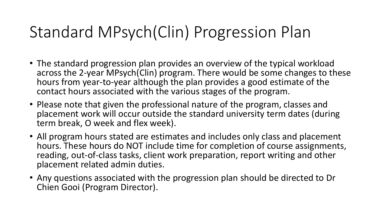# Standard MPsych(Clin) Progression Plan

- The standard progression plan provides an overview of the typical workload across the 2-year MPsych(Clin) program. There would be some changes to these hours from year-to-year although the plan provides a good estimate of the contact hours associated with the various stages of the program.
- Please note that given the professional nature of the program, classes and placement work will occur outside the standard university term dates (during term break, O week and flex week).
- All program hours stated are estimates and includes only class and placement hours. These hours do NOT include time for completion of course assignments, reading, out-of-class tasks, client work preparation, report writing and other placement related admin duties.
- Any questions associated with the progression plan should be directed to Dr Chien Gooi (Program Director).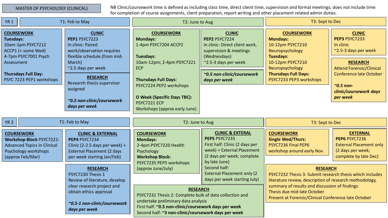### MASTER OF PSYCHOLOGY (CLINICAL)

NB Clinic/coursework time is defined as including class time, direct client time, supervision and formal meetings; does not include time for completion of course assignments, client preparation, report writing and other placement related admin duties.

| <b>YR 1</b>                                                                                                            | T1: Feb to May                                                        |                                                                                                                                                               | T2: June to Aug                                                                                                                                                                                                            |                                                                                                                                            | T3: Sept to Dec                                                                                                                                                                                                                                                                |                                                                                                                                    |
|------------------------------------------------------------------------------------------------------------------------|-----------------------------------------------------------------------|---------------------------------------------------------------------------------------------------------------------------------------------------------------|----------------------------------------------------------------------------------------------------------------------------------------------------------------------------------------------------------------------------|--------------------------------------------------------------------------------------------------------------------------------------------|--------------------------------------------------------------------------------------------------------------------------------------------------------------------------------------------------------------------------------------------------------------------------------|------------------------------------------------------------------------------------------------------------------------------------|
| <b>COURSEWORK</b><br><b>Tuesdays:</b><br>10am-1pm PSYC7212<br>ACCP1 (+ some Wed)<br>4-7pm PSYC7001 Psych<br>Assessment |                                                                       | <b>CLINIC</b><br>PEP1 PSYC7223<br>In clinic: Paired<br>work/observation requires<br>flexible schedule (from mid-<br>March)<br>~2.5 days per week              | <b>COURSEWORK</b><br><b>Mondays:</b><br>1-4pm PSYC7204 ACCP2<br>Tuesdays:<br>10am-12pm; 2-4pm PSYC7221<br><b>ECP</b>                                                                                                       | <b>CLINIC</b><br>PEP2 PSYC7224<br>In clinic: Direct client work,<br>supervision & meetings<br>(Wednesdays)<br>~2.5-3 days per week         | <b>COURSEWORK</b><br><b>Mondays:</b><br>10-12pm PSYC7210<br>Neuropsychology<br><b>Tuesdays:</b><br>10-12pm PSYC7210<br>Neuropsychology                                                                                                                                         | <b>CLINIC</b><br>PEP3 PSYC7233<br>In clinic<br>$\approx$ 2.5-3 days per week<br><b>RESEARCH</b><br><b>Attend Forensic/Clinical</b> |
| <b>Thursdays Full Day:</b>                                                                                             | PSYC 7223 PEP1 workshops                                              | <b>RESEARCH</b><br>Research thesis supervisor                                                                                                                 | <b>Thursdays Full Days:</b>                                                                                                                                                                                                | ~0.5 non-clinic/coursework<br>days per week                                                                                                | <b>Thursdays Full Days:</b><br>PSYC7233 PEP3 workshops                                                                                                                                                                                                                         | <b>Conference late October</b>                                                                                                     |
|                                                                                                                        |                                                                       | assigned<br>~0.5 non-clinic/coursework<br>days per week                                                                                                       | PSYC7224 PEP2 workshops<br>O Week (Specific Days TBC):<br>PSYC7221 ECP<br>Workshops (approx early June)                                                                                                                    |                                                                                                                                            |                                                                                                                                                                                                                                                                                | $\sim$ 0.5 non-<br>clinic/coursework days<br>per week                                                                              |
|                                                                                                                        |                                                                       |                                                                                                                                                               |                                                                                                                                                                                                                            |                                                                                                                                            |                                                                                                                                                                                                                                                                                |                                                                                                                                    |
|                                                                                                                        |                                                                       |                                                                                                                                                               |                                                                                                                                                                                                                            |                                                                                                                                            |                                                                                                                                                                                                                                                                                |                                                                                                                                    |
| <b>YR 2</b>                                                                                                            |                                                                       | T1: Feb to May                                                                                                                                                | T2: June to Aug                                                                                                                                                                                                            |                                                                                                                                            | T3: Sept to Dec                                                                                                                                                                                                                                                                |                                                                                                                                    |
| <b>COURSEWORK</b><br>Psychology workshops<br>(approx Feb/Mar)                                                          | <b>Workshop Block PSYC7222:</b><br><b>Advanced Topics in Clinical</b> | <b>CLINIC &amp; EXTERNAL</b><br>PEP4 PSYC7234<br>Clinic (2-2.5 days per week) +<br>External Placement (2 days<br>per week starting Jan/Feb)                   | <b>COURSEWORK</b><br><b>Mondays:</b><br>2-4pm PSYC7220 Health<br>Psychology<br><b>Workshop Block:</b>                                                                                                                      | <b>CLINIC &amp; EXTERAL</b><br>PEP5 PSYC7235<br>First half: Clinic (2 days per<br>week) + External Placement<br>(2 days per week; complete | <b>COURSEWORK</b><br><b>Single Wed/Thurs:</b><br>PSYC7236 Final PEP6<br>workshop around early Nov                                                                                                                                                                              | <b>EXTERNAL</b><br>PEP6 PSYC7236<br><b>External Placement only</b><br>(2 days per week;<br>complete by late Dec)                   |
|                                                                                                                        |                                                                       | <b>RESEARCH</b><br>PSYC7230 Thesis 1<br>Review of literature, develop<br>clear research project and<br>obtain ethics approval<br>~0.5-1 non-clinic/coursework | PSYC7235 PEP5 workshops<br>(approx June/July)<br><b>RESEARCH</b><br>PSYC7231 Thesis 2: Complete bulk of data collection and<br>undertake preliminary data analysis<br>First half: ~0.5 non-clinic/coursework days per week | by late June)<br>Second half:<br><b>External Placement only (2)</b><br>days per week starting July)                                        | <b>RESEARCH</b><br>PSYC7232 Thesis 3: Submit research thesis which includes<br>literature review, description of research methodology,<br>summary of results and discussion of findings<br>Thesis due mid-late October<br>Present at Forensic/Clinical Conference late October |                                                                                                                                    |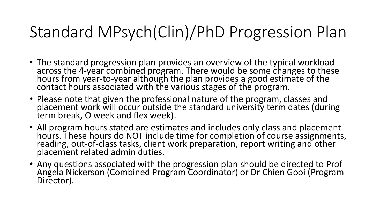# Standard MPsych(Clin)/PhD Progression Plan

- The standard progression plan provides an overview of the typical workload across the 4-year combined program. There would be some changes to these<br>hours from year-to-year although the plan provides a good estimate of the<br>contact hours associated with the various stages of the program.
- Please note that given the professional nature of the program, classes and placement work will occur outside the standard university term dates (during term break, O week and flex week).
- All program hours stated are estimates and includes only class and placement hours. These hours do NOT include time for completion of course assignments, reading, out-of-class tasks, client work preparation, report writing and other placement related admin duties.
- Any questions associated with the progression plan should be directed to Prof Angela Nickerson (Combined Program Coordinator) or Dr Chien Gooi (Program Director).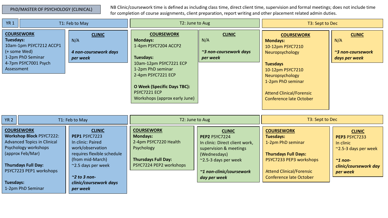### PhD/MASTER OF PSYCHOLOGY (CLINICAL)

NB Clinic/coursework time is defined as including class time, direct client time, supervision and formal meetings; does not include time for completion of course assignments, client preparation, report writing and other placement related admin duties.

| <b>YR 1</b><br>T1: Feb to May                                                                                                                                                                                                            |                                                                                                                                                                                                                | T2: June to Aug                                                                                                                                                                                                                       |                                                                                                                                                                                         | T3: Sept to Dec                                                                                                                                                                                                                 |                                                                                                                           |
|------------------------------------------------------------------------------------------------------------------------------------------------------------------------------------------------------------------------------------------|----------------------------------------------------------------------------------------------------------------------------------------------------------------------------------------------------------------|---------------------------------------------------------------------------------------------------------------------------------------------------------------------------------------------------------------------------------------|-----------------------------------------------------------------------------------------------------------------------------------------------------------------------------------------|---------------------------------------------------------------------------------------------------------------------------------------------------------------------------------------------------------------------------------|---------------------------------------------------------------------------------------------------------------------------|
| <b>COURSEWORK</b><br><b>Tuesdays:</b><br>10am-1pm PSYC7212 ACCP1<br>(+ some Wed)<br>1-2pm PhD Seminar<br>4-7pm PSYC7001 Psych<br>Assessment                                                                                              | <b>CLINIC</b><br>N/A<br>4 non-coursework days<br>per week                                                                                                                                                      | <b>COURSEWORK</b><br><b>Mondays:</b><br>1-4pm PSYC7204 ACCP2<br>Tuesdays:<br>10am-12pm PSYC7221 ECP<br>1-2pm PhD seminar<br>2-4pm PSYC7221 ECP<br><b>O Week (Specific Days TBC):</b><br>PSYC7221 ECP<br>Workshops (approx early June) | <b>CLINIC</b><br>N/A<br>~3 non-coursework days<br>per week                                                                                                                              | <b>COURSEWORK</b><br><b>Mondays:</b><br>10-12pm PSYC7210<br>Neuropsychology<br><b>Tuesdays</b><br>10-12pm PSYC7210<br>Neuropsychology<br>1-2pm PhD seminar<br><b>Attend Clinical/Forensic</b><br><b>Conference late October</b> | <b>CLINIC</b><br>N/A<br>~3 non-coursework<br>days per week                                                                |
| <b>YR 2</b><br>T1: Feb to May                                                                                                                                                                                                            |                                                                                                                                                                                                                | T2: June to Aug                                                                                                                                                                                                                       |                                                                                                                                                                                         | T3: Sept to Dec                                                                                                                                                                                                                 |                                                                                                                           |
| <b>COURSEWORK</b><br><b>Workshop Block PSYC7222:</b><br><b>Advanced Topics in Clinical</b><br>Psychology workshops<br>(approx Feb/Mar)<br><b>Thursdays Full Day:</b><br>PSYC7223 PEP1 workshops<br><b>Tuesdays:</b><br>1-2pm PhD Seminar | <b>CLINIC</b><br>PEP1 PSYC7223<br>In clinic: Paired<br>work/observation<br>requires flexible schedule<br>(from mid-March)<br>~2.5 days per week<br>$\approx$ 2 to 3 non-<br>clinic/coursework days<br>per week | <b>COURSEWORK</b><br><b>Mondays:</b><br>2-4pm PSYC7220 Health<br>Psychology<br><b>Thursdays Full Day:</b><br>PSYC7224 PEP2 workshops                                                                                                  | <b>CLINIC</b><br>PEP2 PSYC7224<br>In clinic: Direct client work,<br>supervision & meetings<br>(Wednesdays)<br>$\approx$ 2.5-3 days per week<br>~1 non-clinic/coursework<br>day per week | <b>COURSEWORK</b><br><b>Tuesdays:</b><br>1-2pm PhD seminar<br><b>Thursdays Full Days:</b><br>PSYC7233 PEP3 workshops<br><b>Attend Clinical/Forensic</b><br><b>Conference late October</b>                                       | <b>CLINIC</b><br>PEP3 PSYC7233<br>In clinic<br>~2.5-3 days per week<br>$\sim$ 1 non-<br>clinic/coursework day<br>per week |